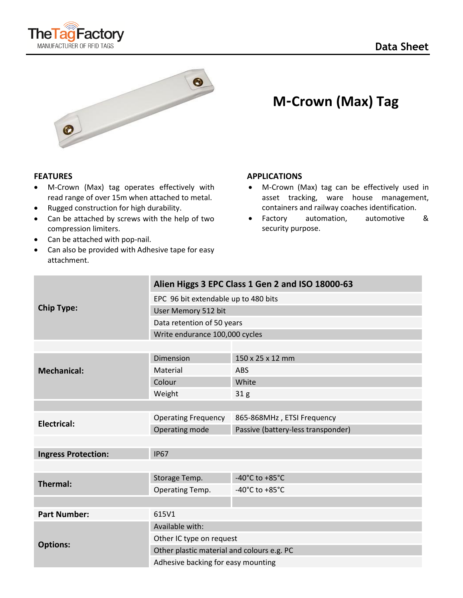



- M-Crown (Max) tag operates effectively with read range of over 15m when attached to metal.
- Rugged construction for high durability.
- Can be attached by screws with the help of two compression limiters.
- Can be attached with pop-nail.
- Can also be provided with Adhesive tape for easy attachment.

# **M-Crown (Max) Tag**

### **FEATURES** APPLICATIONS

- M-Crown (Max) tag can be effectively used in asset tracking, ware house management, containers and railway coaches identification.
- Factory automation, automotive & security purpose.

| <b>Chip Type:</b>          | Alien Higgs 3 EPC Class 1 Gen 2 and ISO 18000-63 |                                      |
|----------------------------|--------------------------------------------------|--------------------------------------|
|                            | EPC 96 bit extendable up to 480 bits             |                                      |
|                            | User Memory 512 bit                              |                                      |
|                            | Data retention of 50 years                       |                                      |
|                            | Write endurance 100,000 cycles                   |                                      |
|                            |                                                  |                                      |
| <b>Mechanical:</b>         | <b>Dimension</b>                                 | 150 x 25 x 12 mm                     |
|                            | Material                                         | <b>ABS</b>                           |
|                            | Colour                                           | White                                |
|                            | Weight                                           | 31 <sub>g</sub>                      |
|                            |                                                  |                                      |
| Electrical:                | <b>Operating Frequency</b>                       | 865-868MHz, ETSI Frequency           |
|                            | Operating mode                                   | Passive (battery-less transponder)   |
|                            |                                                  |                                      |
| <b>Ingress Protection:</b> | <b>IP67</b>                                      |                                      |
|                            |                                                  |                                      |
| <b>Thermal:</b>            | Storage Temp.                                    | -40 $^{\circ}$ C to +85 $^{\circ}$ C |
|                            | Operating Temp.                                  | -40 $^{\circ}$ C to +85 $^{\circ}$ C |
|                            |                                                  |                                      |
| <b>Part Number:</b>        | 615V1                                            |                                      |
| <b>Options:</b>            | Available with:                                  |                                      |
|                            | Other IC type on request                         |                                      |
|                            | Other plastic material and colours e.g. PC       |                                      |
|                            | Adhesive backing for easy mounting               |                                      |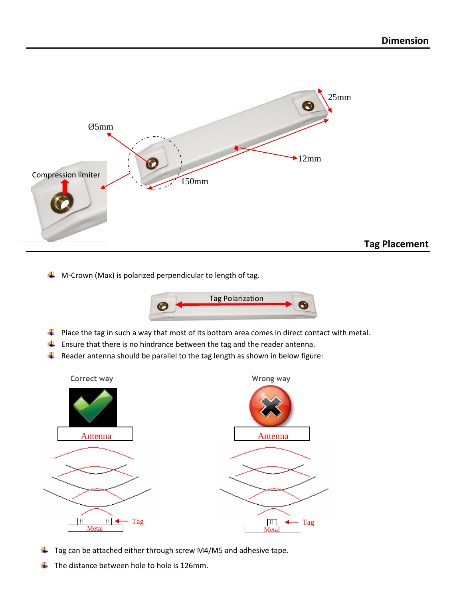

**Tag Placement**

 $\downarrow$  M-Crown (Max) is polarized perpendicular to length of tag.



Tag

- $\ddot{+}$  Place the tag in such a way that most of its bottom area comes in direct contact with metal.
- $\ddot{\phantom{1}}$  Ensure that there is no hindrance between the tag and the reader antenna.
- $\downarrow$  Reader antenna should be parallel to the tag length as shown in below figure:



- $\ddagger$  Tag can be attached either through screw M4/M5 and adhesive tape.
- The distance between hole to hole is 126mm. ÷